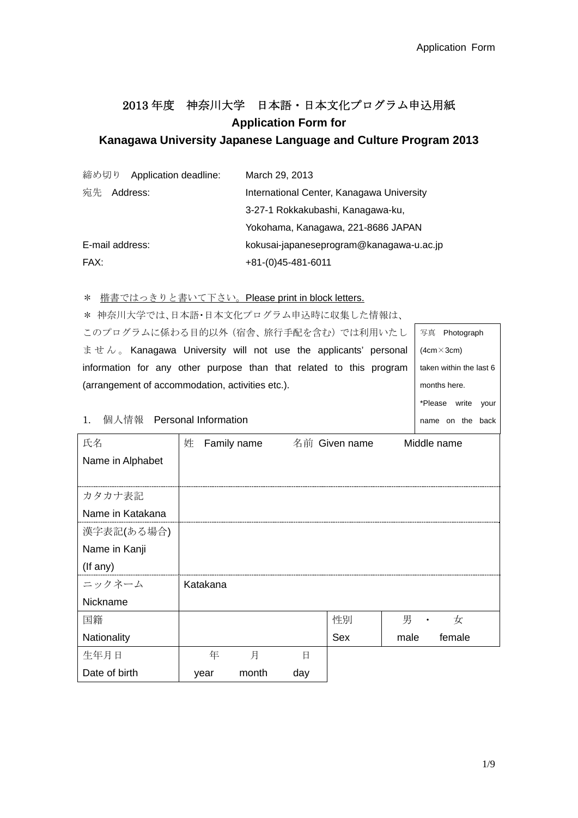# 2013 年度 神奈川大学 日本語・日本文化プログラム申込用紙 **Application Form for**

# **Kanagawa University Japanese Language and Culture Program 2013**

|      | 締め切り Application deadline: | March 29, 2013                            |
|------|----------------------------|-------------------------------------------|
| 宛先   | Address:                   | International Center, Kanagawa University |
|      |                            | 3-27-1 Rokkakubashi, Kanagawa-ku,         |
|      |                            | Yokohama, Kanagawa, 221-8686 JAPAN        |
|      | E-mail address:            | kokusai-japaneseprogram@kanagawa-u.ac.jp  |
| FAX: |                            | $+81-(0)45-481-6011$                      |

\* ##まるけっきりも書いて下さい。Please print in block lett

| 楷書ではっさりと書いて下さい。Please print in block letters.                                          |          |             |     |               |      |                         |
|----------------------------------------------------------------------------------------|----------|-------------|-----|---------------|------|-------------------------|
| 神奈川大学では、日本語・日本文化プログラム申込時に収集した情報は、<br>∗                                                 |          |             |     |               |      |                         |
| このプログラムに係わる目的以外 (宿舎、旅行手配を含む) では利用いたし                                                   |          |             |     |               |      | 写真 Photograph           |
| $\pm$ $\pm$ $\lambda$ $\sim$ Kanagawa University will not use the applicants' personal |          |             |     |               |      | $(4cm \times 3cm)$      |
| information for any other purpose than that related to this program                    |          |             |     |               |      | taken within the last 6 |
| (arrangement of accommodation, activities etc.).                                       |          |             |     |               |      | months here.            |
|                                                                                        |          |             |     |               |      | *Please write<br>your   |
| 個人情報 Personal Information<br>$1_{\cdot}$                                               |          |             |     |               |      | name on the back        |
| 氏名                                                                                     | 姓        | Family name |     | 名前 Given name |      | Middle name             |
| Name in Alphabet                                                                       |          |             |     |               |      |                         |
|                                                                                        |          |             |     |               |      |                         |
| カタカナ表記                                                                                 |          |             |     |               |      |                         |
| Name in Katakana                                                                       |          |             |     |               |      |                         |
| 漢字表記(ある場合)                                                                             |          |             |     |               |      |                         |
| Name in Kanji                                                                          |          |             |     |               |      |                         |
| (If any)                                                                               |          |             |     |               |      |                         |
| ニックネーム                                                                                 | Katakana |             |     |               |      |                         |
| Nickname                                                                               |          |             |     |               |      |                         |
| 国籍                                                                                     |          |             |     | 性別            | 男    | 女                       |
| Nationality                                                                            |          |             |     | Sex           | male | female                  |
| 生年月日                                                                                   | 年        | 月           | 日   |               |      |                         |
| Date of birth                                                                          | year     | month       | day |               |      |                         |
|                                                                                        |          |             |     |               |      |                         |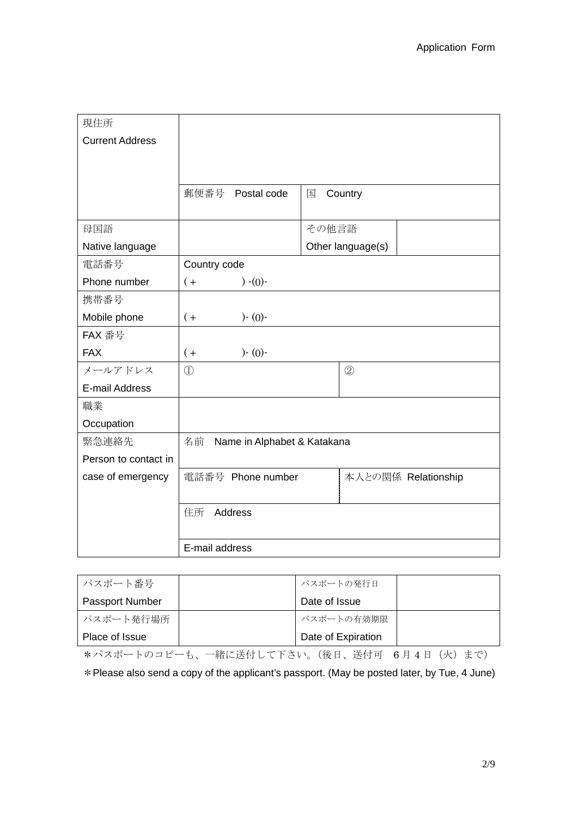| 現住所                    |                                   |                     |  |  |
|------------------------|-----------------------------------|---------------------|--|--|
| <b>Current Address</b> |                                   |                     |  |  |
|                        |                                   |                     |  |  |
|                        |                                   |                     |  |  |
|                        | 郵便番号<br>Postal code               | 国<br>Country        |  |  |
|                        |                                   |                     |  |  |
| 母国語                    |                                   | その他言語               |  |  |
| Native language        |                                   | Other language(s)   |  |  |
| 電話番号                   | Country code                      |                     |  |  |
| Phone number           | $) - (0) -$<br>$($ +              |                     |  |  |
| 携带番号                   |                                   |                     |  |  |
| Mobile phone           | $) - (0) -$<br>$($ +              |                     |  |  |
| FAX 番号                 |                                   |                     |  |  |
| <b>FAX</b>             | $) - (0) -$<br>$($ +              |                     |  |  |
| メールアドレス                | $\textcircled{1}$                 | $\circled{2}$       |  |  |
| E-mail Address         |                                   |                     |  |  |
| 職業                     |                                   |                     |  |  |
| Occupation             |                                   |                     |  |  |
| 緊急連絡先                  | 名前<br>Name in Alphabet & Katakana |                     |  |  |
| Person to contact in   |                                   |                     |  |  |
| case of emergency      | 電話番号 Phone number                 | 本人との関係 Relationship |  |  |
|                        |                                   |                     |  |  |
|                        | 住所<br>Address                     |                     |  |  |
|                        |                                   |                     |  |  |
|                        | E-mail address                    |                     |  |  |

| パスポート番号                | パスポートの発行日          |
|------------------------|--------------------|
| <b>Passport Number</b> | Date of Issue      |
| パスポート発行場所              | パスポートの有効期限         |
| Place of Issue         | Date of Expiration |

\*パスポートのコピーも、一緒に送付して下さい。(後日、送付可 6月4日(火)まで)

\*Please also send a copy of the applicant's passport. (May be posted later, by Tue, 4 June)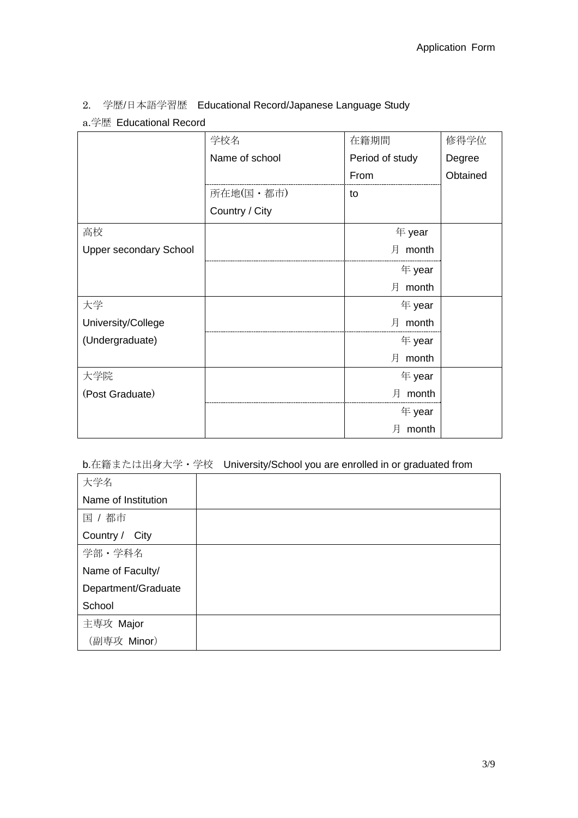2. 学歴/日本語学習歴 Educational Record/Japanese Language Study

a.学歴 Educational Record

|                               | 学校名            | 在籍期間            | 修得学位     |
|-------------------------------|----------------|-----------------|----------|
|                               | Name of school | Period of study | Degree   |
|                               |                | From            | Obtained |
|                               | 所在地(国·都市)      | to              |          |
|                               | Country / City |                 |          |
| 高校                            |                | 年 year          |          |
| <b>Upper secondary School</b> |                | 月 month         |          |
|                               |                | 年 year          |          |
|                               |                | 月 month         |          |
| 大学                            |                | 年 year          |          |
| University/College            |                | 月 month         |          |
| (Undergraduate)               |                | 年 year          |          |
|                               |                | 月 month         |          |
| 大学院                           |                | 年 year          |          |
| (Post Graduate)               |                | 月 month         |          |
|                               |                | 年 year          |          |
|                               |                | month<br>月      |          |

### b.在籍または出身大学・学校 University/School you are enrolled in or graduated from

| 大学名                 |  |
|---------------------|--|
| Name of Institution |  |
| 国 / 都市              |  |
| Country / City      |  |
| 学部·学科名              |  |
| Name of Faculty/    |  |
| Department/Graduate |  |
| School              |  |
| 主専攻 Major           |  |
| (副専攻 Minor)         |  |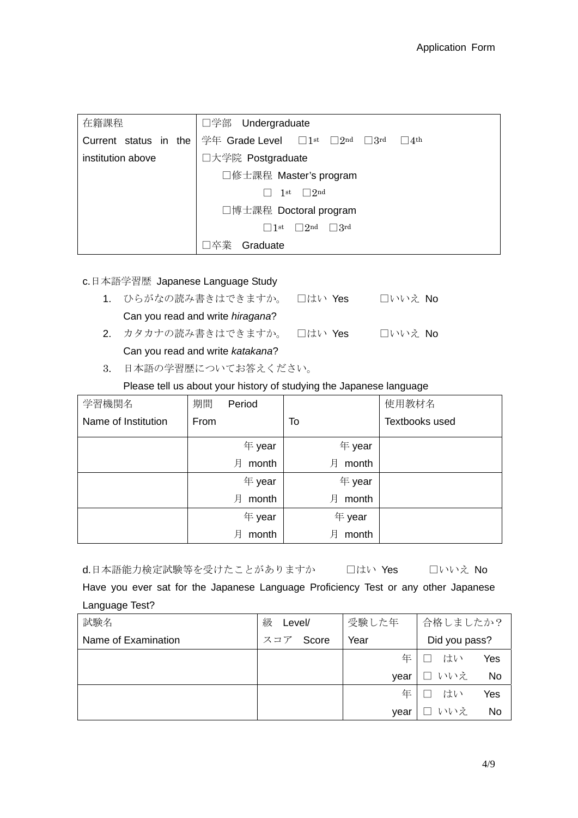| 在籍課程                  | □学部 Undergraduate                                                |  |  |
|-----------------------|------------------------------------------------------------------|--|--|
| Current status in the | 学年 Grade Level $\Box$ 1st $\Box$ 2nd<br>$\Box$ 3rd<br>$\Box$ 4th |  |  |
| institution above     | □大学院 Postgraduate                                                |  |  |
|                       | □修士課程 Master's program                                           |  |  |
|                       | $\Box$ 2nd<br>1st                                                |  |  |
|                       | □博士課程 Doctoral program                                           |  |  |
|                       | $\Box$ 3rd<br>$\Box$ 2nd<br>$\Box$ 1 st                          |  |  |
|                       | 丵<br>Graduate                                                    |  |  |

#### c.日本語学習歴 Japanese Language Study

- 1. ひらがなの読み書きはできますか。 □はい Yes □いいえ No Can you read and write *hiragana*? 2. カタカナの読み書きはできますか。 □はい Yes □いいえ No
	- Can you read and write *katakana*?
- 3. 日本語の学習歴についてお答えください。

#### Please tell us about your history of studying the Japanese language

| 学習機関名               | 期間   | Period     |            | 使用教材名          |
|---------------------|------|------------|------------|----------------|
| Name of Institution | From |            | To         | Textbooks used |
|                     |      | 年 year     | 年 year     |                |
|                     |      | month<br>月 | month<br>月 |                |
|                     |      | 年 year     | 年 year     |                |
|                     |      | 月<br>month | month<br>月 |                |
|                     |      | 年 year     | 年 year     |                |
|                     |      | 月<br>month | month<br>月 |                |

d.日本語能力検定試験等を受けたことがありますか □はい Yes □いいえ No

Have you ever sat for the Japanese Language Proficiency Test or any other Japanese Language Test?

| 試験名                 | 級<br>Level/  | 受験した年 | 合格しましたか?              |     |
|---------------------|--------------|-------|-----------------------|-----|
| Name of Examination | Score<br>スコア | Year  | Did you pass?         |     |
|                     |              | 年     | はい                    | Yes |
|                     |              | vear  | いいえ<br>$\blacksquare$ | No  |
|                     |              | 年     | はい                    | Yes |
|                     |              | vear  | いいえ<br>$\mathbf{I}$   | No  |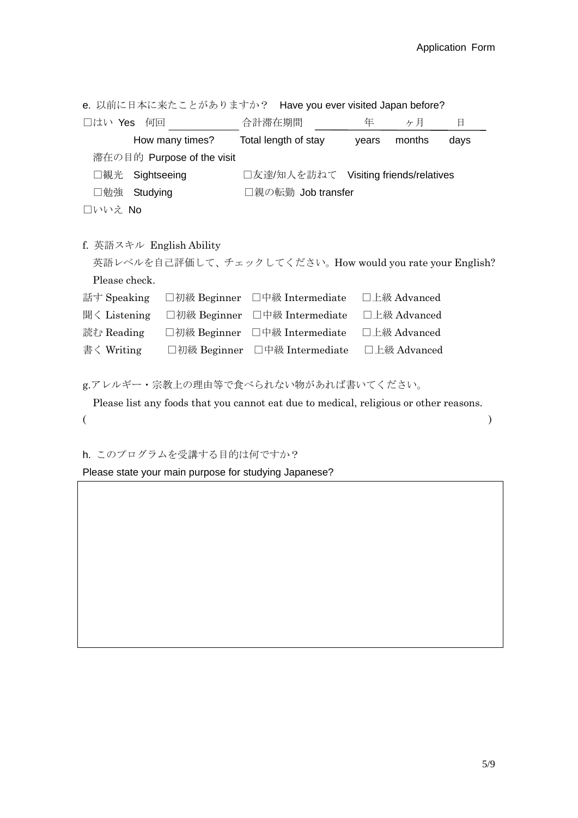| e. 以前に日本に来たことがありますか? Have you ever visited Japan before?                              |                                       |   |              |      |  |
|---------------------------------------------------------------------------------------|---------------------------------------|---|--------------|------|--|
| □はい Yes 何回                                                                            | 合計滞在期間                                | 年 | ヶ月           | 日    |  |
| How many times?                                                                       | Total length of stay                  |   | years months | days |  |
| 滞在の目的 Purpose of the visit                                                            |                                       |   |              |      |  |
| □観光<br>Sightseeing                                                                    | □友達/知人を訪ねて Visiting friends/relatives |   |              |      |  |
| □勉強 Studying                                                                          | □親の転勤 Job transfer                    |   |              |      |  |
| □いいえ No                                                                               |                                       |   |              |      |  |
|                                                                                       |                                       |   |              |      |  |
| f. 英語スキル English Ability                                                              |                                       |   |              |      |  |
| 英語レベルを自己評価して、チェックしてください。How would you rate your English?                              |                                       |   |              |      |  |
| Please check.                                                                         |                                       |   |              |      |  |
| 話す Speaking                                                                           | □初級 Beginner □中級 Intermediate         |   | □上級 Advanced |      |  |
| 聞く Listening □初級 Beginner □中級 Intermediate                                            |                                       |   | □上級 Advanced |      |  |
| 読む Reading                                                                            | □初級 Beginner □中級 Intermediate         |   | □上級 Advanced |      |  |
| 書く Writing                                                                            | □初級 Beginner □中級 Intermediate         |   | □上級 Advanced |      |  |
|                                                                                       |                                       |   |              |      |  |
| g.アレルギー・宗教上の理由等で食べられない物があれば書いてください。                                                   |                                       |   |              |      |  |
| Please list any foods that you cannot eat due to medical, religious or other reasons. |                                       |   |              |      |  |

 $($  )

h. このプログラムを受講する目的は何ですか?

Please state your main purpose for studying Japanese?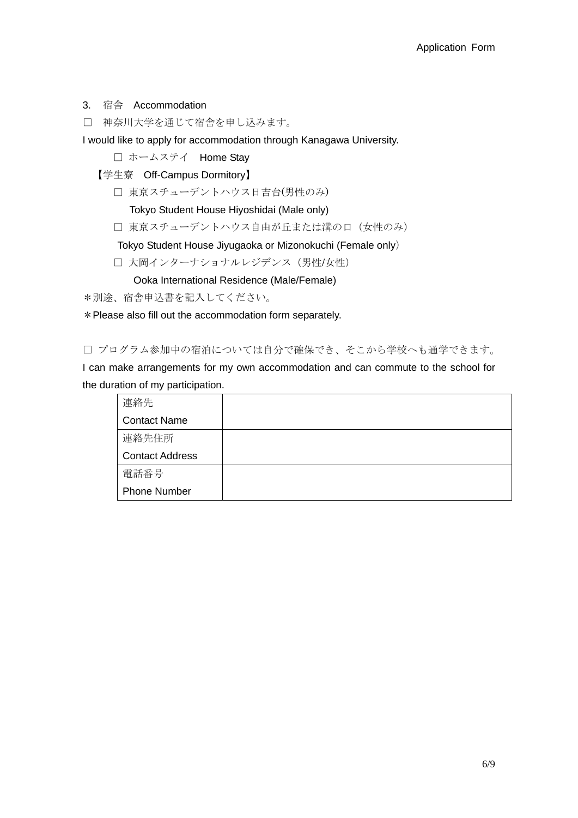#### 3. 宿舎 Accommodation

□ 神奈川大学を通じて宿舎を申し込みます。

I would like to apply for accommodation through Kanagawa University.

□ ホームステイ Home Stay

【学生寮 Off-Campus Dormitory】

□ 東京スチューデントハウス日吉台(男性のみ)

Tokyo Student House Hiyoshidai (Male only)

□ 東京スチューデントハウス自由が丘または溝の口 (女性のみ)

Tokyo Student House Jiyugaoka or Mizonokuchi (Female only)

□ 大岡インターナショナルレジデンス (男性/女性)

Ooka International Residence (Male/Female)

\*別途、宿舎申込書を記入してください。

\*Please also fill out the accommodation form separately.

□ プログラム参加中の宿泊については自分で確保でき、そこから学校へも通学できます。

I can make arrangements for my own accommodation and can commute to the school for the duration of my participation.

| 連絡先                    |  |
|------------------------|--|
| <b>Contact Name</b>    |  |
| 連絡先住所                  |  |
| <b>Contact Address</b> |  |
| 電話番号                   |  |
| <b>Phone Number</b>    |  |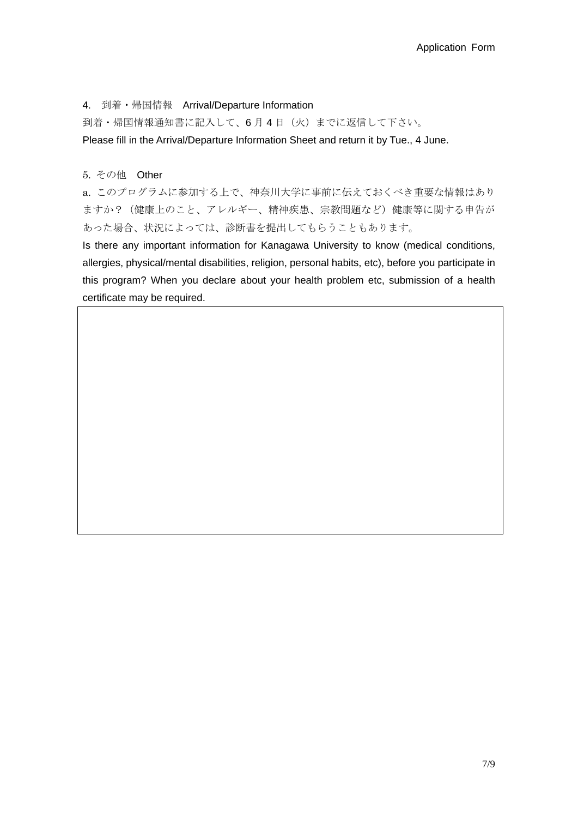4. 到着・帰国情報 Arrival/Departure Information

到着・帰国情報通知書に記入して、6 月 4 日(火)までに返信して下さい。

Please fill in the Arrival/Departure Information Sheet and return it by Tue., 4 June.

5. その他 Other

a. このプログラムに参加する上で、神奈川大学に事前に伝えておくべき重要な情報はあり ますか?(健康上のこと、アレルギー、精神疾患、宗教問題など)健康等に関する申告が あった場合、状況によっては、診断書を提出してもらうこともあります。

Is there any important information for Kanagawa University to know (medical conditions, allergies, physical/mental disabilities, religion, personal habits, etc), before you participate in this program? When you declare about your health problem etc, submission of a health certificate may be required.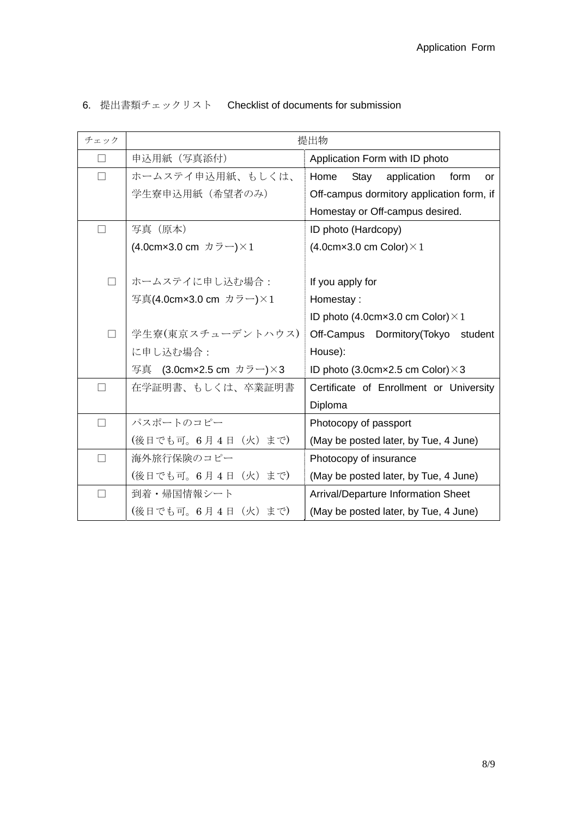## 6. 提出書類チェックリスト Checklist of documents for submission

| チェック                     | 提出物                                                                                                                                      |                                                   |  |  |
|--------------------------|------------------------------------------------------------------------------------------------------------------------------------------|---------------------------------------------------|--|--|
|                          | 申込用紙 (写真添付)                                                                                                                              | Application Form with ID photo                    |  |  |
|                          | ホームステイ申込用紙、もしくは、                                                                                                                         | Home<br>Stay<br>application<br>form<br>or         |  |  |
|                          | 学生寮申込用紙(希望者のみ)                                                                                                                           | Off-campus dormitory application form, if         |  |  |
|                          |                                                                                                                                          | Homestay or Off-campus desired.                   |  |  |
| $\overline{\phantom{a}}$ | 写真 (原本)                                                                                                                                  | ID photo (Hardcopy)                               |  |  |
|                          | (4.0cm×3.0 cm カラー)×1                                                                                                                     | $(4.0cm \times 3.0 cm$ Color) $\times 1$          |  |  |
|                          |                                                                                                                                          |                                                   |  |  |
|                          | ホームステイに申し込む場合:                                                                                                                           | If you apply for                                  |  |  |
|                          | 写真(4.0cm×3.0 cm カラー)×1                                                                                                                   | Homestay:                                         |  |  |
|                          |                                                                                                                                          | ID photo (4.0cm $\times$ 3.0 cm Color) $\times$ 1 |  |  |
| $\Box$                   | 学生寮(東京スチューデントハウス)                                                                                                                        | Off-Campus Dormitory(Tokyo<br>student             |  |  |
|                          | に申し込む場合:                                                                                                                                 | House):                                           |  |  |
|                          | (3.0cm×2.5 cm $\overline{D}$ $\overline{D}$ $\rightarrow$ $\overline{S}$ $\rightarrow$ $\overline{S}$ $\rightarrow$ $\overline{S}$<br>写真 | ID photo (3.0cm $\times$ 2.5 cm Color) $\times$ 3 |  |  |
| $\vert \ \ \vert$        | 在学証明書、もしくは、卒業証明書                                                                                                                         | Certificate of Enrollment or University           |  |  |
|                          |                                                                                                                                          | Diploma                                           |  |  |
| П                        | パスポートのコピー                                                                                                                                | Photocopy of passport                             |  |  |
|                          | (後日でも可。6月4日 (火)まで)                                                                                                                       | (May be posted later, by Tue, 4 June)             |  |  |
| П                        | 海外旅行保険のコピー                                                                                                                               | Photocopy of insurance                            |  |  |
|                          | (後日でも可。6月4日 (火)まで)                                                                                                                       | (May be posted later, by Tue, 4 June)             |  |  |
| $\Box$                   | 到着・帰国情報シート                                                                                                                               | Arrival/Departure Information Sheet               |  |  |
|                          | (後日でも可。6月4日 (火)まで)                                                                                                                       | (May be posted later, by Tue, 4 June)             |  |  |